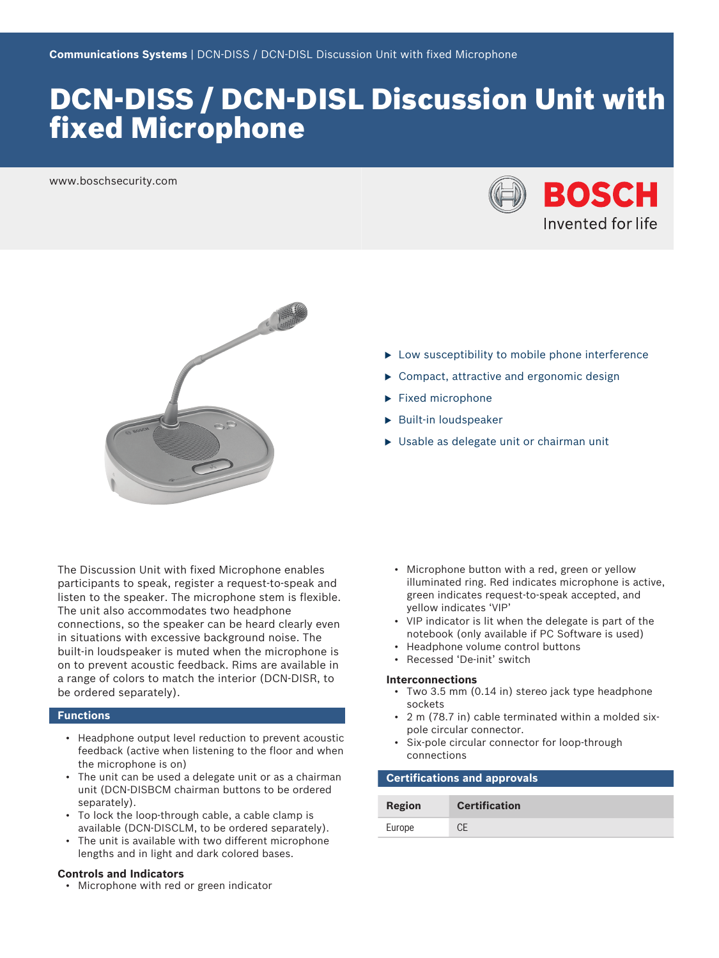# DCN‑DISS / DCN‑DISL Discussion Unit with fixed Microphone

www.boschsecurity.com





The Discussion Unit with fixed Microphone enables participants to speak, register a request-to-speak and listen to the speaker. The microphone stem is flexible. The unit also accommodates two headphone connections, so the speaker can be heard clearly even in situations with excessive background noise. The built-in loudspeaker is muted when the microphone is on to prevent acoustic feedback. Rims are available in a range of colors to match the interior (DCN-DISR, to be ordered separately).

# **Functions**

- Headphone output level reduction to prevent acoustic feedback (active when listening to the floor and when the microphone is on)
- The unit can be used a delegate unit or as a chairman unit (DCN-DISBCM chairman buttons to be ordered separately).
- To lock the loop-through cable, a cable clamp is available (DCN-DISCLM, to be ordered separately).
- The unit is available with two different microphone lengths and in light and dark colored bases.

### **Controls and Indicators**

• Microphone with red or green indicator

- $\blacktriangleright$  Low susceptibility to mobile phone interference
- $\triangleright$  Compact, attractive and ergonomic design
- $\blacktriangleright$  Fixed microphone
- $\blacktriangleright$  Built-in loudspeaker
- $\triangleright$  Usable as delegate unit or chairman unit

- Microphone button with a red, green or yellow illuminated ring. Red indicates microphone is active, green indicates request-to-speak accepted, and yellow indicates 'VIP'
- VIP indicator is lit when the delegate is part of the notebook (only available if PC Software is used)
- Headphone volume control buttons
- Recessed 'De-init' switch

#### **Interconnections**

- Two 3.5 mm (0.14 in) stereo jack type headphone sockets
- 2 m (78.7 in) cable terminated within a molded sixpole circular connector.
- Six-pole circular connector for loop-through connections

# **Certifications and approvals**

| Region | <b>Certification</b> |
|--------|----------------------|
| Europe |                      |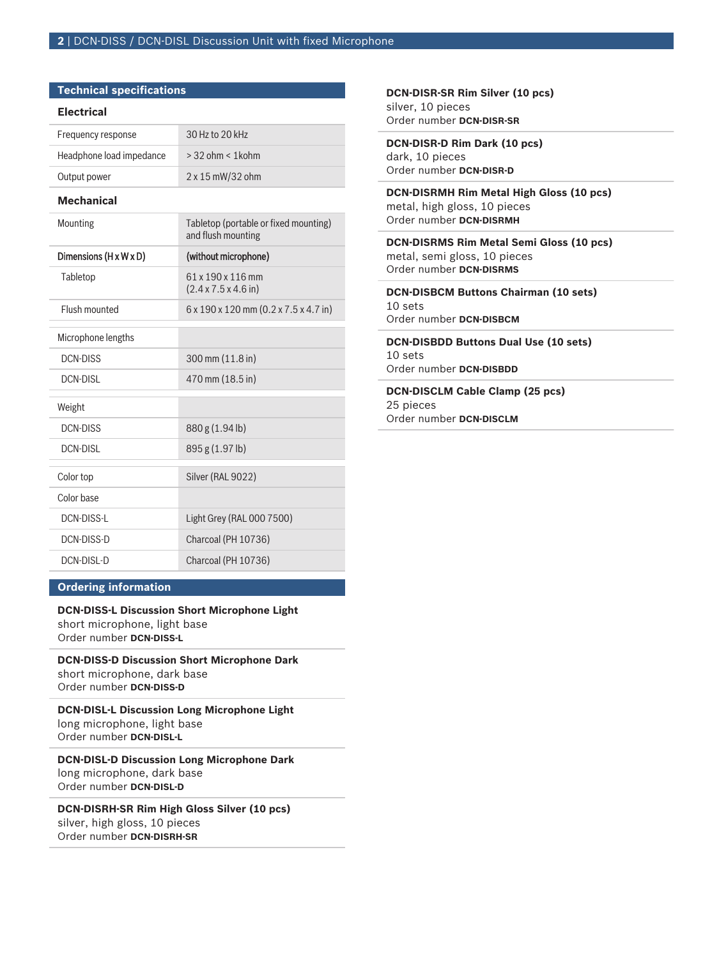# **Technical specifications**

### **Electrical**

| Frequency response       | 30 Hz to 20 kHz         |
|--------------------------|-------------------------|
| Headphone load impedance | $>$ 32 ohm $<$ 1 kohm   |
| Output power             | $2 \times 15$ mW/32 ohm |

# **Mechanical**

| Mounting               | Tabletop (portable or fixed mounting)<br>and flush mounting   |
|------------------------|---------------------------------------------------------------|
| Dimensions (H x W x D) | (without microphone)                                          |
| Tabletop               | 61 x 190 x 116 mm<br>$(2.4 \times 7.5 \times 4.6)$ in)        |
| Flush mounted          | $6 \times 190 \times 120$ mm $(0.2 \times 7.5 \times 4.7$ in) |
| Microphone lengths     |                                                               |
| DCN-DISS               | 300 mm (11.8 in)                                              |
| DCN-DISI               | 470 mm (18.5 in)                                              |
| Weight                 |                                                               |
| <b>DCN-DISS</b>        | 880 g (1.94 lb)                                               |
| <b>DCN-DISL</b>        | 895 g (1.97 lb)                                               |
| Color top              | Silver (RAL 9022)                                             |
| Color base             |                                                               |
| DCN-DISS-L             | Light Grey (RAL 000 7500)                                     |
| DCN-DISS-D             | Charcoal (PH 10736)                                           |
| DCN-DISL-D             | Charcoal (PH 10736)                                           |

### **Ordering information**

# **DCN‑DISS‑L Discussion Short Microphone Light** short microphone, light base Order number **DCN-DISS-L**

**DCN‑DISS‑D Discussion Short Microphone Dark** short microphone, dark base Order number **DCN-DISS-D**

**DCN‑DISL‑L Discussion Long Microphone Light** long microphone, light base Order number **DCN-DISL-L**

**DCN‑DISL‑D Discussion Long Microphone Dark** long microphone, dark base Order number **DCN-DISL-D**

**DCN‑DISRH‑SR Rim High Gloss Silver (10 pcs)** silver, high gloss, 10 pieces Order number **DCN-DISRH-SR**

**DCN‑DISR‑SR Rim Silver (10 pcs)** silver, 10 pieces Order number **DCN-DISR-SR**

**DCN‑DISR‑D Rim Dark (10 pcs)** dark, 10 pieces Order number **DCN-DISR-D**

**DCN‑DISRMH Rim Metal High Gloss (10 pcs)** metal, high gloss, 10 pieces Order number **DCN-DISRMH**

**DCN‑DISRMS Rim Metal Semi Gloss (10 pcs)** metal, semi gloss, 10 pieces Order number **DCN-DISRMS**

**DCN‑DISBCM Buttons Chairman (10 sets)** 10 sets Order number **DCN-DISBCM**

**DCN‑DISBDD Buttons Dual Use (10 sets)** 10 sets Order number **DCN-DISBDD**

**DCN‑DISCLM Cable Clamp (25 pcs)** 25 pieces Order number **DCN-DISCLM**